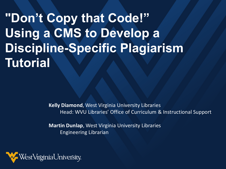**"Don't Copy that Code!" Using a CMS to Develop a Discipline-Specific Plagiarism Tutorial** 

> **Kelly Diamond**, West Virginia University Libraries Head: WVU Libraries' Office of Curriculum & Instructional Support

**Martin Dunlap**, West Virginia University Libraries Engineering Librarian

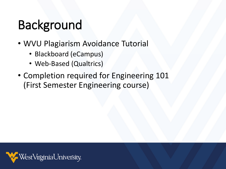## Background

- WVU Plagiarism Avoidance Tutorial
	- Blackboard (eCampus)
	- Web-Based (Qualtrics)
- Completion required for Engineering 101 (First Semester Engineering course)

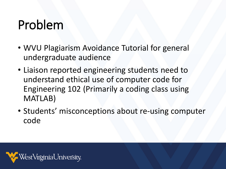#### Problem

- WVU Plagiarism Avoidance Tutorial for general undergraduate audience
- Liaison reported engineering students need to understand ethical use of computer code for Engineering 102 (Primarily a coding class using MATLAB)
- Students' misconceptions about re-using computer code

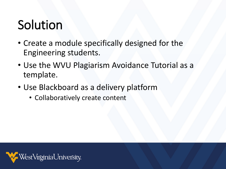#### Solution

- Create a module specifically designed for the Engineering students.
- Use the WVU Plagiarism Avoidance Tutorial as a template.
- Use Blackboard as a delivery platform
	- Collaboratively create content

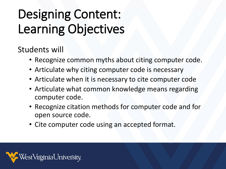# Designing Content: Learning Objectives

Students will

- Recognize common myths about citing computer code.
- Articulate why citing computer code is necessary
- Articulate when it is necessary to cite computer code
- Articulate what common knowledge means regarding computer code.
- Recognize citation methods for computer code and for open source code.
- Cite computer code using an accepted format.

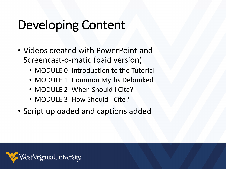## Developing Content

- Videos created with PowerPoint and Screencast-o-matic (paid version)
	- MODULE 0: Introduction to the Tutorial
	- MODULE 1: Common Myths Debunked
	- MODULE 2: When Should I Cite?
	- MODULE 3: How Should I Cite?
- Script uploaded and captions added

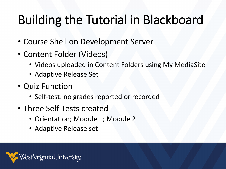# Building the Tutorial in Blackboard

- Course Shell on Development Server
- Content Folder (Videos)
	- Videos uploaded in Content Folders using My MediaSite
	- Adaptive Release Set
- Quiz Function
	- Self-test: no grades reported or recorded
- Three Self-Tests created
	- Orientation; Module 1; Module 2
	- Adaptive Release set

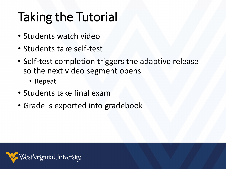# Taking the Tutorial

- Students watch video
- Students take self-test
- Self-test completion triggers the adaptive release so the next video segment opens
	- Repeat
- Students take final exam
- Grade is exported into gradebook

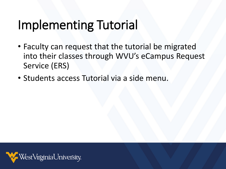#### Implementing Tutorial

- Faculty can request that the tutorial be migrated into their classes through WVU's eCampus Request Service (ERS)
- Students access Tutorial via a side menu.

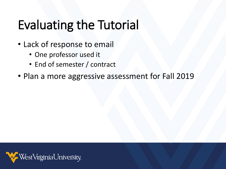## Evaluating the Tutorial

- Lack of response to email
	- One professor used it
	- End of semester / contract
- Plan a more aggressive assessment for Fall 2019